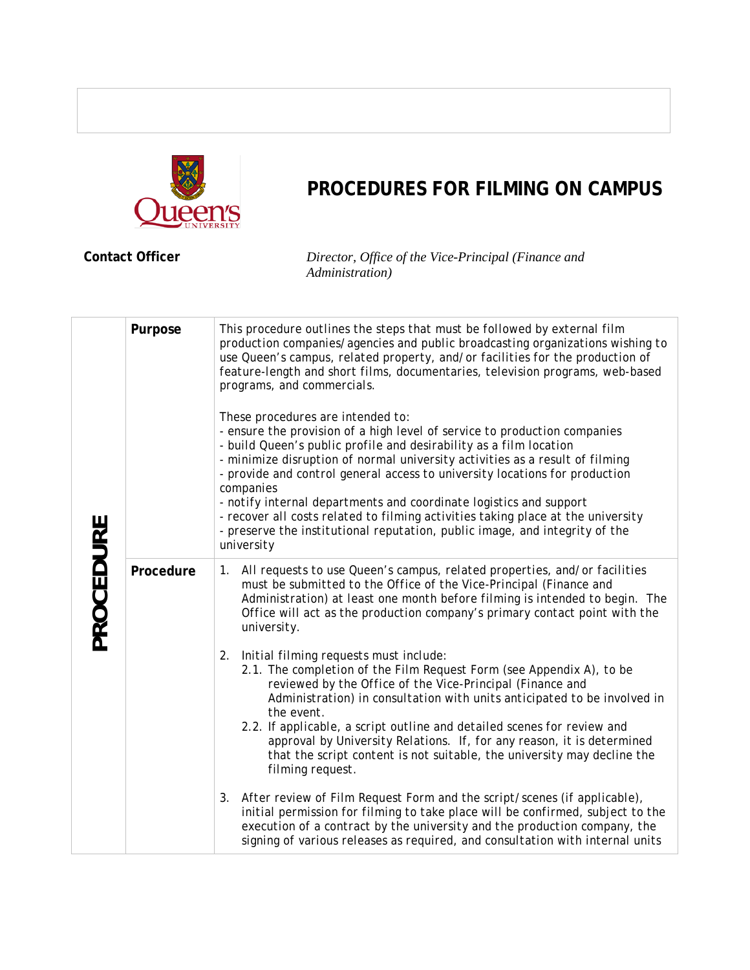

## **PROCEDURES FOR FILMING ON CAMPUS**

**Contact Officer** *Director, Office of the Vice-Principal (Finance and Administration)*

| PROCEDURE | Purpose   | This procedure outlines the steps that must be followed by external film<br>production companies/agencies and public broadcasting organizations wishing to<br>use Queen's campus, related property, and/or facilities for the production of<br>feature-length and short films, documentaries, television programs, web-based<br>programs, and commercials.<br>These procedures are intended to:<br>- ensure the provision of a high level of service to production companies<br>- build Queen's public profile and desirability as a film location<br>- minimize disruption of normal university activities as a result of filming<br>- provide and control general access to university locations for production<br>companies<br>- notify internal departments and coordinate logistics and support<br>- recover all costs related to filming activities taking place at the university<br>- preserve the institutional reputation, public image, and integrity of the<br>university |  |  |
|-----------|-----------|---------------------------------------------------------------------------------------------------------------------------------------------------------------------------------------------------------------------------------------------------------------------------------------------------------------------------------------------------------------------------------------------------------------------------------------------------------------------------------------------------------------------------------------------------------------------------------------------------------------------------------------------------------------------------------------------------------------------------------------------------------------------------------------------------------------------------------------------------------------------------------------------------------------------------------------------------------------------------------------|--|--|
|           | Procedure | All requests to use Queen's campus, related properties, and/or facilities<br>1.<br>must be submitted to the Office of the Vice-Principal (Finance and<br>Administration) at least one month before filming is intended to begin. The<br>Office will act as the production company's primary contact point with the<br>university.                                                                                                                                                                                                                                                                                                                                                                                                                                                                                                                                                                                                                                                     |  |  |
|           |           | Initial filming requests must include:<br>2.<br>2.1. The completion of the Film Request Form (see Appendix A), to be<br>reviewed by the Office of the Vice-Principal (Finance and<br>Administration) in consultation with units anticipated to be involved in<br>the event.<br>2.2. If applicable, a script outline and detailed scenes for review and<br>approval by University Relations. If, for any reason, it is determined<br>that the script content is not suitable, the university may decline the<br>filming request.                                                                                                                                                                                                                                                                                                                                                                                                                                                       |  |  |
|           |           | After review of Film Request Form and the script/scenes (if applicable),<br>3.<br>initial permission for filming to take place will be confirmed, subject to the<br>execution of a contract by the university and the production company, the<br>signing of various releases as required, and consultation with internal units                                                                                                                                                                                                                                                                                                                                                                                                                                                                                                                                                                                                                                                        |  |  |